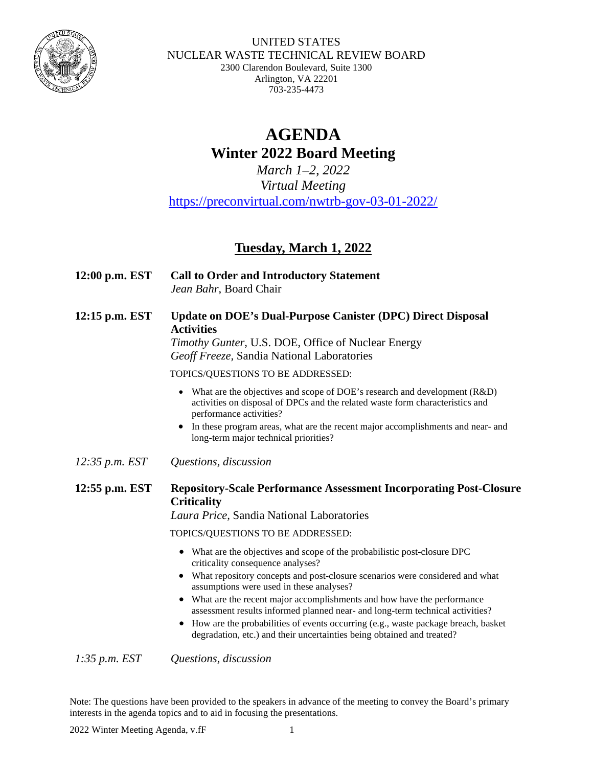

#### UNITED STATES NUCLEAR WASTE TECHNICAL REVIEW BOARD 2300 Clarendon Boulevard, Suite 1300 Arlington, VA 22201 703-235-4473

## **AGENDA Winter 2022 Board Meeting**

*March 1–2, 2022 Virtual Meeting* <https://preconvirtual.com/nwtrb-gov-03-01-2022/>

## **Tuesday, March 1, 2022**

- **12:00 p.m. EST Call to Order and Introductory Statement** *Jean Bahr*, Board Chair
- **12:15 p.m. EST Update on DOE's Dual-Purpose Canister (DPC) Direct Disposal Activities**

*Timothy Gunter,* U.S. DOE, Office of Nuclear Energy *Geoff Freeze,* Sandia National Laboratories

TOPICS/QUESTIONS TO BE ADDRESSED:

- What are the objectives and scope of DOE's research and development (R&D) activities on disposal of DPCs and the related waste form characteristics and performance activities?
- In these program areas, what are the recent major accomplishments and near- and long-term major technical priorities?
- *12:35 p.m. EST Questions, discussion*

## **12:55 p.m. EST Repository-Scale Performance Assessment Incorporating Post-Closure Criticality**

*Laura Price,* Sandia National Laboratories

TOPICS/QUESTIONS TO BE ADDRESSED:

- What are the objectives and scope of the probabilistic post-closure DPC criticality consequence analyses?
- What repository concepts and post-closure scenarios were considered and what assumptions were used in these analyses?
- What are the recent major accomplishments and how have the performance assessment results informed planned near- and long-term technical activities?
- How are the probabilities of events occurring (e.g., waste package breach, basket degradation, etc.) and their uncertainties being obtained and treated?

*1:35 p.m. EST Questions, discussion*

Note: The questions have been provided to the speakers in advance of the meeting to convey the Board's primary interests in the agenda topics and to aid in focusing the presentations.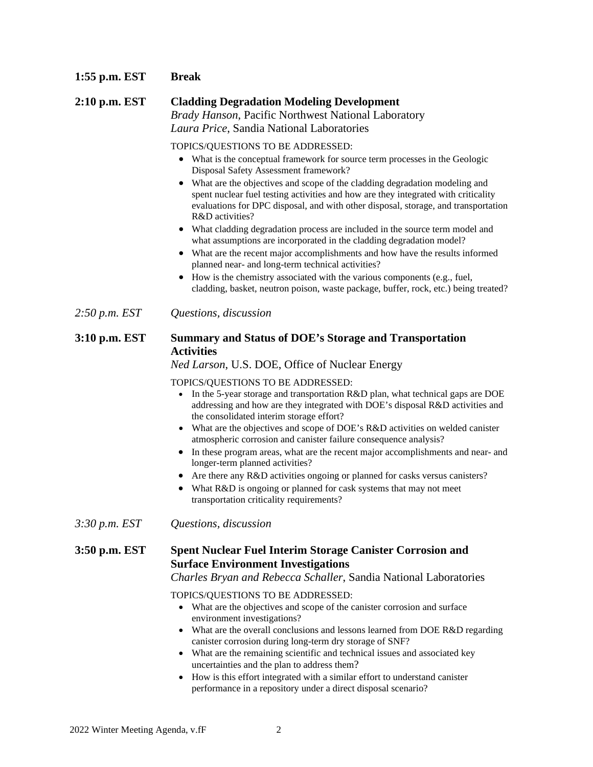#### **1:55 p.m. EST Break**

## **2:10 p.m. EST Cladding Degradation Modeling Development** *Brady Hanson*, Pacific Northwest National Laboratory *Laura Price*, Sandia National Laboratories

TOPICS/QUESTIONS TO BE ADDRESSED:

- What is the conceptual framework for source term processes in the Geologic Disposal Safety Assessment framework?
- What are the objectives and scope of the cladding degradation modeling and spent nuclear fuel testing activities and how are they integrated with criticality evaluations for DPC disposal, and with other disposal, storage, and transportation R&D activities?
- What cladding degradation process are included in the source term model and what assumptions are incorporated in the cladding degradation model?
- What are the recent major accomplishments and how have the results informed planned near- and long-term technical activities?
- How is the chemistry associated with the various components (e.g., fuel, cladding, basket, neutron poison, waste package, buffer, rock, etc.) being treated?
- *2:50 p.m. EST Questions, discussion*

#### **3:10 p.m. EST Summary and Status of DOE's Storage and Transportation Activities**

*Ned Larson*, U.S. DOE, Office of Nuclear Energy

TOPICS/QUESTIONS TO BE ADDRESSED:

- In the 5-year storage and transportation R&D plan, what technical gaps are DOE addressing and how are they integrated with DOE's disposal R&D activities and the consolidated interim storage effort?
- What are the objectives and scope of DOE's R&D activities on welded canister atmospheric corrosion and canister failure consequence analysis?
- In these program areas, what are the recent major accomplishments and near- and longer-term planned activities?
- Are there any R&D activities ongoing or planned for casks versus canisters?
- What R&D is ongoing or planned for cask systems that may not meet transportation criticality requirements?

*3:30 p.m. EST Questions, discussion*

### **3:50 p.m. EST Spent Nuclear Fuel Interim Storage Canister Corrosion and Surface Environment Investigations**

#### *Charles Bryan and Rebecca Schaller*, Sandia National Laboratories

#### TOPICS/QUESTIONS TO BE ADDRESSED:

- What are the objectives and scope of the canister corrosion and surface environment investigations?
- What are the overall conclusions and lessons learned from DOE R&D regarding canister corrosion during long-term dry storage of SNF?
- What are the remaining scientific and technical issues and associated key uncertainties and the plan to address them?
- How is this effort integrated with a similar effort to understand canister performance in a repository under a direct disposal scenario?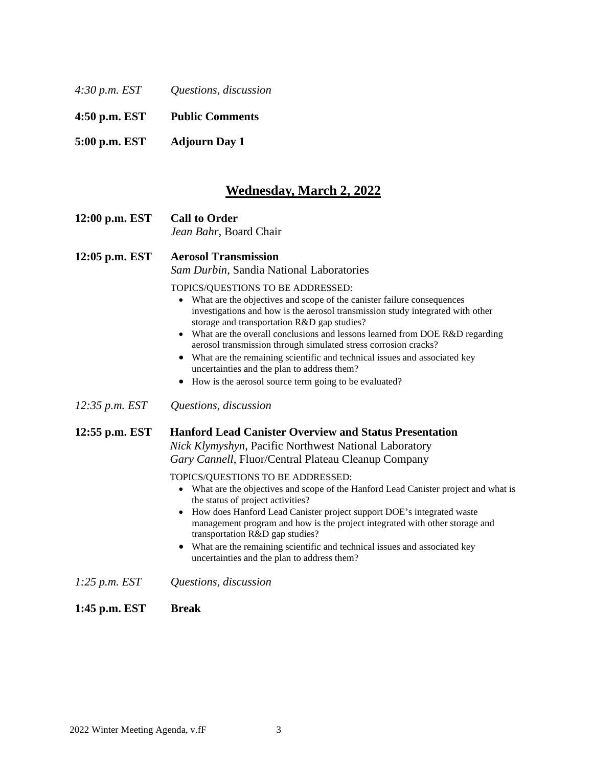| 4:30 p.m. EST | Questions, discussion |  |
|---------------|-----------------------|--|
|               |                       |  |

**4:50 p.m. EST Public Comments**

**5:00 p.m. EST Adjourn Day 1**

## **Wednesday, March 2, 2022**

**12:00 p.m. EST Call to Order** *Jean Bahr*, Board Chair

**12:05 p.m. EST Aerosol Transmission** *Sam Durbin*, Sandia National Laboratories

TOPICS/QUESTIONS TO BE ADDRESSED:

- What are the objectives and scope of the canister failure consequences investigations and how is the aerosol transmission study integrated with other storage and transportation R&D gap studies?
- What are the overall conclusions and lessons learned from DOE R&D regarding aerosol transmission through simulated stress corrosion cracks?
- What are the remaining scientific and technical issues and associated key uncertainties and the plan to address them?
- How is the aerosol source term going to be evaluated?
- *12:35 p.m. EST Questions, discussion*

#### **12:55 p.m. EST Hanford Lead Canister Overview and Status Presentation**

*Nick Klymyshyn*, Pacific Northwest National Laboratory *Gary Cannell*, Fluor/Central Plateau Cleanup Company

#### TOPICS/QUESTIONS TO BE ADDRESSED:

- What are the objectives and scope of the Hanford Lead Canister project and what is the status of project activities?
- How does Hanford Lead Canister project support DOE's integrated waste management program and how is the project integrated with other storage and transportation R&D gap studies?
- What are the remaining scientific and technical issues and associated key uncertainties and the plan to address them?
- *1:25 p.m. EST Questions, discussion*
- **1:45 p.m. EST Break**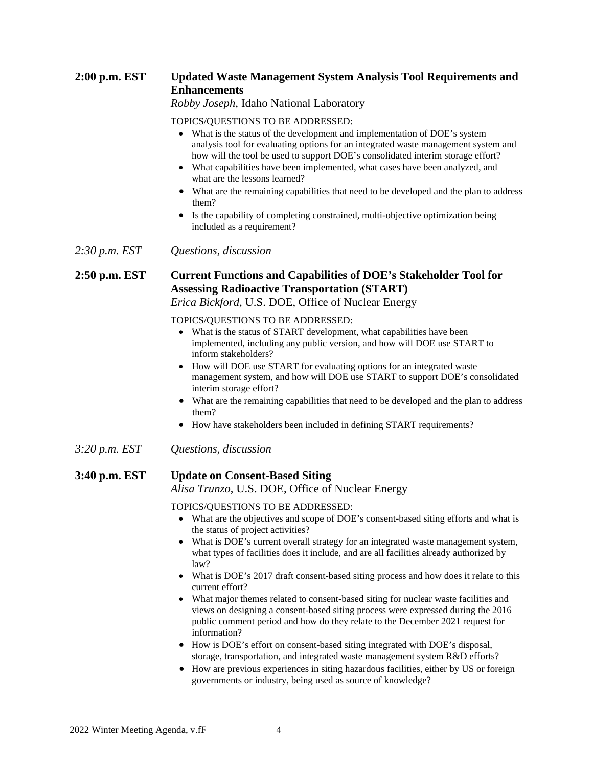## **2:00 p.m. EST Updated Waste Management System Analysis Tool Requirements and Enhancements**

*Robby Joseph*, Idaho National Laboratory

#### TOPICS/QUESTIONS TO BE ADDRESSED:

- What is the status of the development and implementation of DOE's system analysis tool for evaluating options for an integrated waste management system and how will the tool be used to support DOE's consolidated interim storage effort?
- What capabilities have been implemented, what cases have been analyzed, and what are the lessons learned?
- What are the remaining capabilities that need to be developed and the plan to address them?
- Is the capability of completing constrained, multi-objective optimization being included as a requirement?
- *2:30 p.m. EST Questions, discussion*

### **2:50 p.m. EST Current Functions and Capabilities of DOE's Stakeholder Tool for Assessing Radioactive Transportation (START)**

*Erica Bickford*, U.S. DOE, Office of Nuclear Energy

TOPICS/QUESTIONS TO BE ADDRESSED:

- What is the status of START development, what capabilities have been implemented, including any public version, and how will DOE use START to inform stakeholders?
- How will DOE use START for evaluating options for an integrated waste management system, and how will DOE use START to support DOE's consolidated interim storage effort?
- What are the remaining capabilities that need to be developed and the plan to address them?
- How have stakeholders been included in defining START requirements?
- *3:20 p.m. EST Questions, discussion*

# **3:40 p.m. EST Update on Consent-Based Siting**

*Alisa Trunzo*, U.S. DOE, Office of Nuclear Energy

#### TOPICS/QUESTIONS TO BE ADDRESSED:

- What are the objectives and scope of DOE's consent-based siting efforts and what is the status of project activities?
- What is DOE's current overall strategy for an integrated waste management system, what types of facilities does it include, and are all facilities already authorized by law?
- What is DOE's 2017 draft consent-based siting process and how does it relate to this current effort?
- What major themes related to consent-based siting for nuclear waste facilities and views on designing a consent-based siting process were expressed during the 2016 public comment period and how do they relate to the December 2021 request for information?
- How is DOE's effort on consent-based siting integrated with DOE's disposal, storage, transportation, and integrated waste management system R&D efforts?
- How are previous experiences in siting hazardous facilities, either by US or foreign governments or industry, being used as source of knowledge?